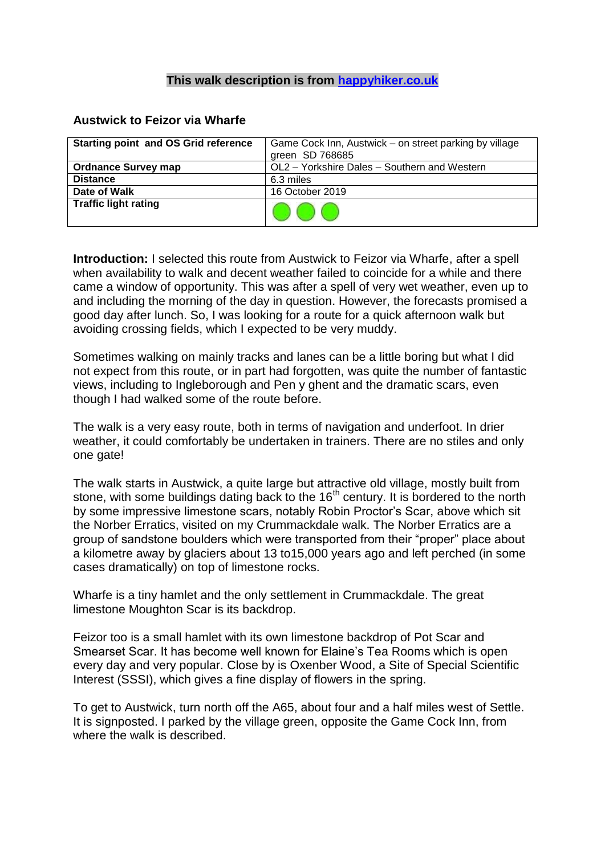## **This walk description is from [happyhiker.co.uk](http://happyhiker.co.uk/)**

## **Austwick to Feizor via Wharfe**

| <b>Starting point and OS Grid reference</b> | Game Cock Inn, Austwick – on street parking by village<br>green SD 768685 |
|---------------------------------------------|---------------------------------------------------------------------------|
| <b>Ordnance Survey map</b>                  | OL2 - Yorkshire Dales - Southern and Western                              |
| <b>Distance</b>                             | 6.3 miles                                                                 |
| Date of Walk                                | 16 October 2019                                                           |
| <b>Traffic light rating</b>                 |                                                                           |

**Introduction:** I selected this route from Austwick to Feizor via Wharfe, after a spell when availability to walk and decent weather failed to coincide for a while and there came a window of opportunity. This was after a spell of very wet weather, even up to and including the morning of the day in question. However, the forecasts promised a good day after lunch. So, I was looking for a route for a quick afternoon walk but avoiding crossing fields, which I expected to be very muddy.

Sometimes walking on mainly tracks and lanes can be a little boring but what I did not expect from this route, or in part had forgotten, was quite the number of fantastic views, including to Ingleborough and Pen y ghent and the dramatic scars, even though I had walked some of the route before.

The walk is a very easy route, both in terms of navigation and underfoot. In drier weather, it could comfortably be undertaken in trainers. There are no stiles and only one gate!

The walk starts in Austwick, a quite large but attractive old village, mostly built from stone, with some buildings dating back to the 16<sup>th</sup> century. It is bordered to the north by some impressive limestone scars, notably Robin Proctor's Scar, above which sit the Norber Erratics, visited on my Crummackdale walk. The Norber Erratics are a group of sandstone boulders which were transported from their "proper" place about a kilometre away by glaciers about 13 to15,000 years ago and left perched (in some cases dramatically) on top of limestone rocks.

Wharfe is a tiny hamlet and the only settlement in Crummackdale. The great limestone Moughton Scar is its backdrop.

Feizor too is a small hamlet with its own limestone backdrop of Pot Scar and Smearset Scar. It has become well known for Elaine's Tea Rooms which is open every day and very popular. Close by is Oxenber Wood, a Site of Special Scientific Interest (SSSI), which gives a fine display of flowers in the spring.

To get to Austwick, turn north off the A65, about four and a half miles west of Settle. It is signposted. I parked by the village green, opposite the Game Cock Inn, from where the walk is described.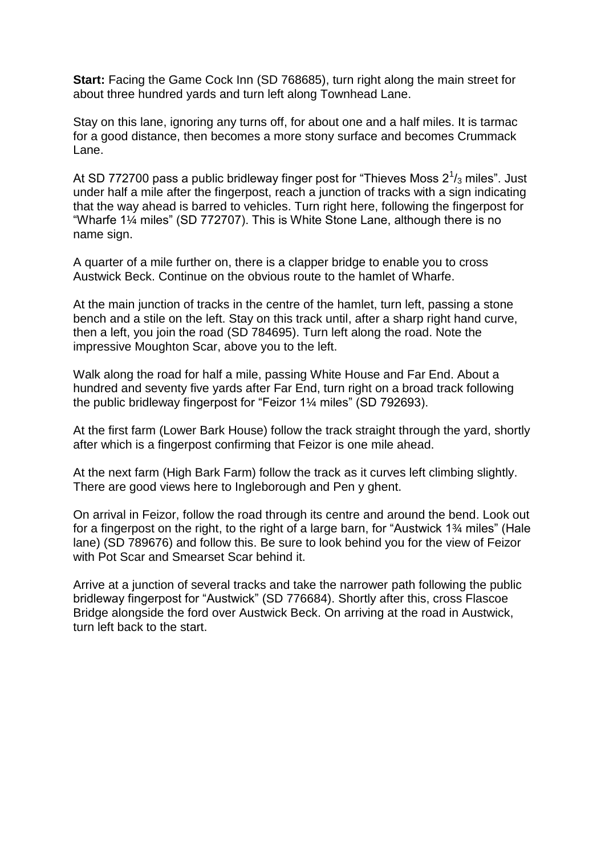**Start:** Facing the Game Cock Inn (SD 768685), turn right along the main street for about three hundred yards and turn left along Townhead Lane.

Stay on this lane, ignoring any turns off, for about one and a half miles. It is tarmac for a good distance, then becomes a more stony surface and becomes Crummack Lane.

At SD 772700 pass a public bridleway finger post for "Thieves Moss 2 $\frac{1}{3}$  miles". Just under half a mile after the fingerpost, reach a junction of tracks with a sign indicating that the way ahead is barred to vehicles. Turn right here, following the fingerpost for "Wharfe 1¼ miles" (SD 772707). This is White Stone Lane, although there is no name sign.

A quarter of a mile further on, there is a clapper bridge to enable you to cross Austwick Beck. Continue on the obvious route to the hamlet of Wharfe.

At the main junction of tracks in the centre of the hamlet, turn left, passing a stone bench and a stile on the left. Stay on this track until, after a sharp right hand curve, then a left, you join the road (SD 784695). Turn left along the road. Note the impressive Moughton Scar, above you to the left.

Walk along the road for half a mile, passing White House and Far End. About a hundred and seventy five yards after Far End, turn right on a broad track following the public bridleway fingerpost for "Feizor 1¼ miles" (SD 792693).

At the first farm (Lower Bark House) follow the track straight through the yard, shortly after which is a fingerpost confirming that Feizor is one mile ahead.

At the next farm (High Bark Farm) follow the track as it curves left climbing slightly. There are good views here to Ingleborough and Pen y ghent.

On arrival in Feizor, follow the road through its centre and around the bend. Look out for a fingerpost on the right, to the right of a large barn, for "Austwick 1¾ miles" (Hale lane) (SD 789676) and follow this. Be sure to look behind you for the view of Feizor with Pot Scar and Smearset Scar behind it.

Arrive at a junction of several tracks and take the narrower path following the public bridleway fingerpost for "Austwick" (SD 776684). Shortly after this, cross Flascoe Bridge alongside the ford over Austwick Beck. On arriving at the road in Austwick, turn left back to the start.